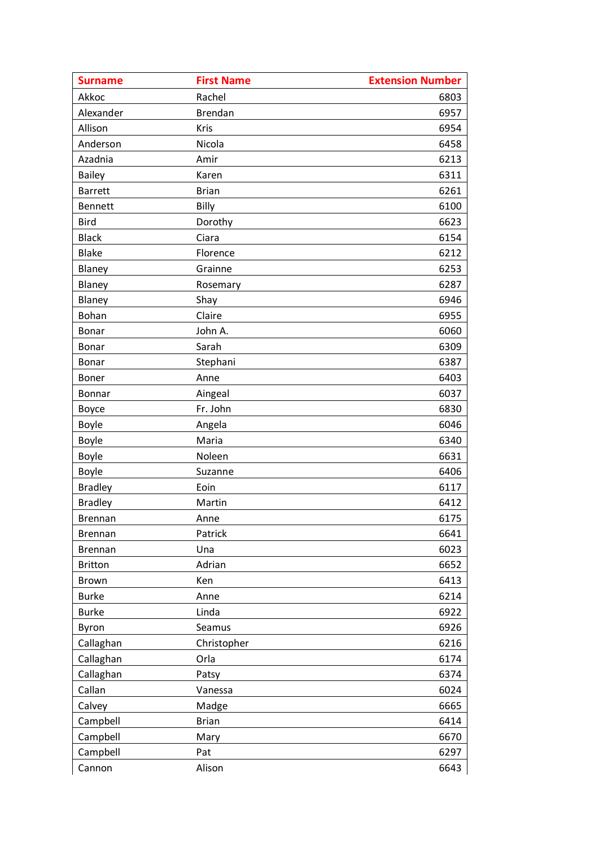| <b>Surname</b> | <b>First Name</b> | <b>Extension Number</b> |
|----------------|-------------------|-------------------------|
| Akkoc          | Rachel            | 6803                    |
| Alexander      | Brendan           | 6957                    |
| Allison        | Kris              | 6954                    |
| Anderson       | Nicola            | 6458                    |
| Azadnia        | Amir              | 6213                    |
| <b>Bailey</b>  | Karen             | 6311                    |
| <b>Barrett</b> | <b>Brian</b>      | 6261                    |
| <b>Bennett</b> | Billy             | 6100                    |
| <b>Bird</b>    | Dorothy           | 6623                    |
| <b>Black</b>   | Ciara             | 6154                    |
| <b>Blake</b>   | Florence          | 6212                    |
| Blaney         | Grainne           | 6253                    |
| Blaney         | Rosemary          | 6287                    |
| Blaney         | Shay              | 6946                    |
| Bohan          | Claire            | 6955                    |
| Bonar          | John A.           | 6060                    |
| Bonar          | Sarah             | 6309                    |
| Bonar          | Stephani          | 6387                    |
| Boner          | Anne              | 6403                    |
| Bonnar         | Aingeal           | 6037                    |
| Boyce          | Fr. John          | 6830                    |
| Boyle          | Angela            | 6046                    |
| Boyle          | Maria             | 6340                    |
| Boyle          | Noleen            | 6631                    |
| Boyle          | Suzanne           | 6406                    |
| <b>Bradley</b> | Eoin              | 6117                    |
| <b>Bradley</b> | Martin            | 6412                    |
| <b>Brennan</b> | Anne              | 6175                    |
| <b>Brennan</b> | Patrick           | 6641                    |
| <b>Brennan</b> | Una               | 6023                    |
| <b>Britton</b> | Adrian            | 6652                    |
| <b>Brown</b>   | Ken               | 6413                    |
| <b>Burke</b>   | Anne              | 6214                    |
| <b>Burke</b>   | Linda             | 6922                    |
| Byron          | Seamus            | 6926                    |
| Callaghan      | Christopher       | 6216                    |
| Callaghan      | Orla              | 6174                    |
| Callaghan      | Patsy             | 6374                    |
| Callan         | Vanessa           | 6024                    |
| Calvey         | Madge             | 6665                    |
| Campbell       | <b>Brian</b>      | 6414                    |
| Campbell       | Mary              | 6670                    |
| Campbell       | Pat               | 6297                    |
| Cannon         | Alison            | 6643                    |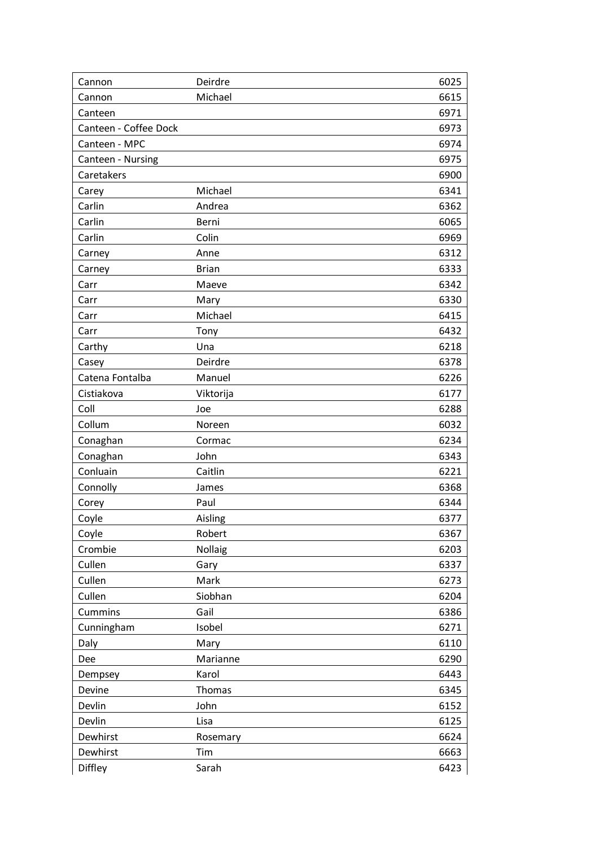| Cannon                | Deirdre      | 6025 |
|-----------------------|--------------|------|
| Cannon                | Michael      | 6615 |
| Canteen               |              | 6971 |
| Canteen - Coffee Dock |              | 6973 |
| Canteen - MPC         |              | 6974 |
| Canteen - Nursing     |              | 6975 |
| Caretakers            |              | 6900 |
| Carey                 | Michael      | 6341 |
| Carlin                | Andrea       | 6362 |
| Carlin                | Berni        | 6065 |
| Carlin                | Colin        | 6969 |
| Carney                | Anne         | 6312 |
| Carney                | <b>Brian</b> | 6333 |
| Carr                  | Maeve        | 6342 |
| Carr                  | Mary         | 6330 |
| Carr                  | Michael      | 6415 |
| Carr                  | Tony         | 6432 |
| Carthy                | Una          | 6218 |
| Casey                 | Deirdre      | 6378 |
| Catena Fontalba       | Manuel       | 6226 |
| Cistiakova            | Viktorija    | 6177 |
| Coll                  | Joe          | 6288 |
| Collum                | Noreen       | 6032 |
| Conaghan              | Cormac       | 6234 |
| Conaghan              | John         | 6343 |
| Conluain              | Caitlin      | 6221 |
| Connolly              | James        | 6368 |
| Corey                 | Paul         | 6344 |
| Coyle                 | Aisling      | 6377 |
| Coyle                 | Robert       | 6367 |
| Crombie               | Nollaig      | 6203 |
| Cullen                | Gary         | 6337 |
| Cullen                | Mark         | 6273 |
| Cullen                | Siobhan      | 6204 |
| Cummins               | Gail         | 6386 |
| Cunningham            | Isobel       | 6271 |
| Daly                  | Mary         | 6110 |
| Dee                   | Marianne     | 6290 |
| Dempsey               | Karol        | 6443 |
| Devine                | Thomas       | 6345 |
| Devlin                | John         | 6152 |
| Devlin                | Lisa         | 6125 |
| Dewhirst              | Rosemary     | 6624 |
| Dewhirst              | Tim          | 6663 |
| Diffley               | Sarah        | 6423 |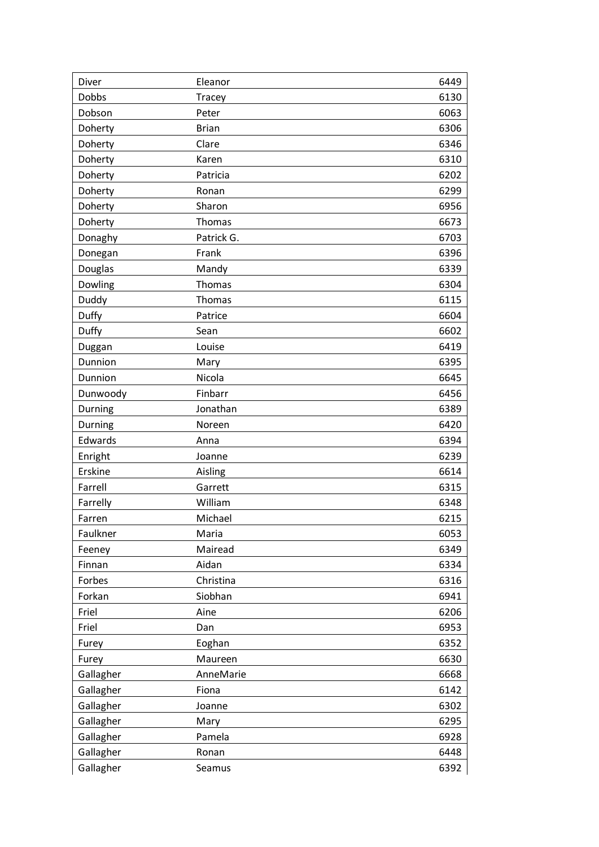| Diver        | Eleanor       | 6449 |
|--------------|---------------|------|
| <b>Dobbs</b> | <b>Tracey</b> | 6130 |
| Dobson       | Peter         | 6063 |
| Doherty      | <b>Brian</b>  | 6306 |
| Doherty      | Clare         | 6346 |
| Doherty      | Karen         | 6310 |
| Doherty      | Patricia      | 6202 |
| Doherty      | Ronan         | 6299 |
| Doherty      | Sharon        | 6956 |
| Doherty      | Thomas        | 6673 |
| Donaghy      | Patrick G.    | 6703 |
| Donegan      | Frank         | 6396 |
| Douglas      | Mandy         | 6339 |
| Dowling      | Thomas        | 6304 |
| Duddy        | Thomas        | 6115 |
| Duffy        | Patrice       | 6604 |
| Duffy        | Sean          | 6602 |
| Duggan       | Louise        | 6419 |
| Dunnion      | Mary          | 6395 |
| Dunnion      | Nicola        | 6645 |
| Dunwoody     | Finbarr       | 6456 |
| Durning      | Jonathan      | 6389 |
| Durning      | Noreen        | 6420 |
| Edwards      | Anna          | 6394 |
| Enright      | Joanne        | 6239 |
| Erskine      | Aisling       | 6614 |
| Farrell      | Garrett       | 6315 |
| Farrelly     | William       | 6348 |
| Farren       | Michael       | 6215 |
| Faulkner     | Maria         | 6053 |
| Feeney       | Mairead       | 6349 |
| Finnan       | Aidan         | 6334 |
| Forbes       | Christina     | 6316 |
| Forkan       | Siobhan       | 6941 |
| Friel        | Aine          | 6206 |
| Friel        | Dan           | 6953 |
| Furey        | Eoghan        | 6352 |
| Furey        | Maureen       | 6630 |
| Gallagher    | AnneMarie     | 6668 |
| Gallagher    | Fiona         | 6142 |
| Gallagher    | Joanne        | 6302 |
| Gallagher    | Mary          | 6295 |
| Gallagher    | Pamela        | 6928 |
| Gallagher    | Ronan         | 6448 |
| Gallagher    | Seamus        | 6392 |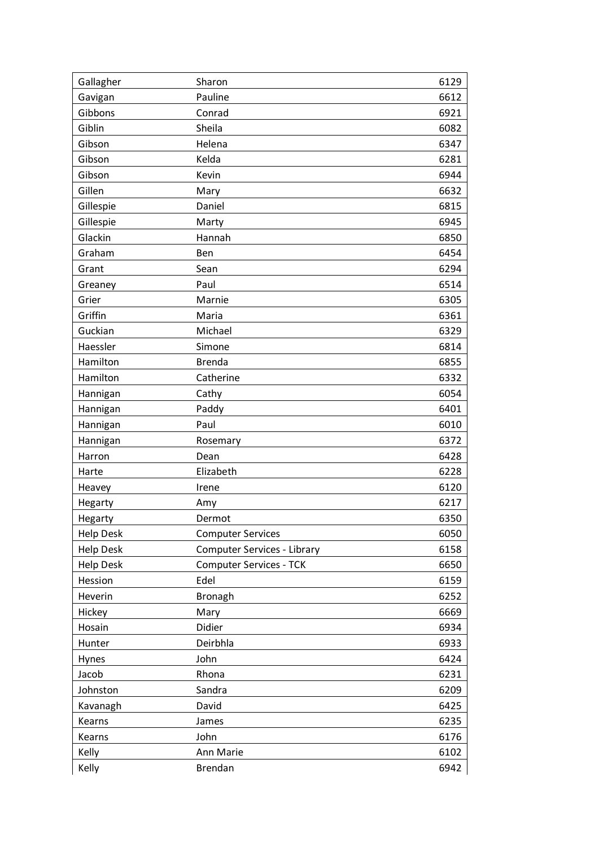| Gallagher        | Sharon                         | 6129 |
|------------------|--------------------------------|------|
| Gavigan          | Pauline                        | 6612 |
| Gibbons          | Conrad                         | 6921 |
| Giblin           | Sheila                         | 6082 |
| Gibson           | Helena                         | 6347 |
| Gibson           | Kelda                          | 6281 |
| Gibson           | Kevin                          | 6944 |
| Gillen           | Mary                           | 6632 |
| Gillespie        | Daniel                         | 6815 |
| Gillespie        | Marty                          | 6945 |
| Glackin          | Hannah                         | 6850 |
| Graham           | Ben                            | 6454 |
| Grant            | Sean                           | 6294 |
| Greaney          | Paul                           | 6514 |
| Grier            | Marnie                         | 6305 |
| Griffin          | Maria                          | 6361 |
| Guckian          | Michael                        | 6329 |
| Haessler         | Simone                         | 6814 |
| Hamilton         | <b>Brenda</b>                  | 6855 |
| Hamilton         | Catherine                      | 6332 |
| Hannigan         | Cathy                          | 6054 |
| Hannigan         | Paddy                          | 6401 |
| Hannigan         | Paul                           | 6010 |
| Hannigan         | Rosemary                       | 6372 |
| Harron           | Dean                           | 6428 |
| Harte            | Elizabeth                      | 6228 |
| Heavey           | Irene                          | 6120 |
| Hegarty          | Amy                            | 6217 |
| Hegarty          | Dermot                         | 6350 |
| <b>Help Desk</b> | <b>Computer Services</b>       | 6050 |
| <b>Help Desk</b> | Computer Services - Library    | 6158 |
| <b>Help Desk</b> | <b>Computer Services - TCK</b> | 6650 |
| Hession          | Edel                           | 6159 |
| Heverin          | <b>Bronagh</b>                 | 6252 |
| Hickey           | Mary                           | 6669 |
| Hosain           | Didier                         | 6934 |
| Hunter           | Deirbhla                       | 6933 |
| Hynes            | John                           | 6424 |
| Jacob            | Rhona                          | 6231 |
| Johnston         | Sandra                         | 6209 |
| Kavanagh         | David                          | 6425 |
| Kearns           | James                          | 6235 |
| Kearns           | John                           | 6176 |
| Kelly            | Ann Marie                      | 6102 |
| Kelly            | <b>Brendan</b>                 | 6942 |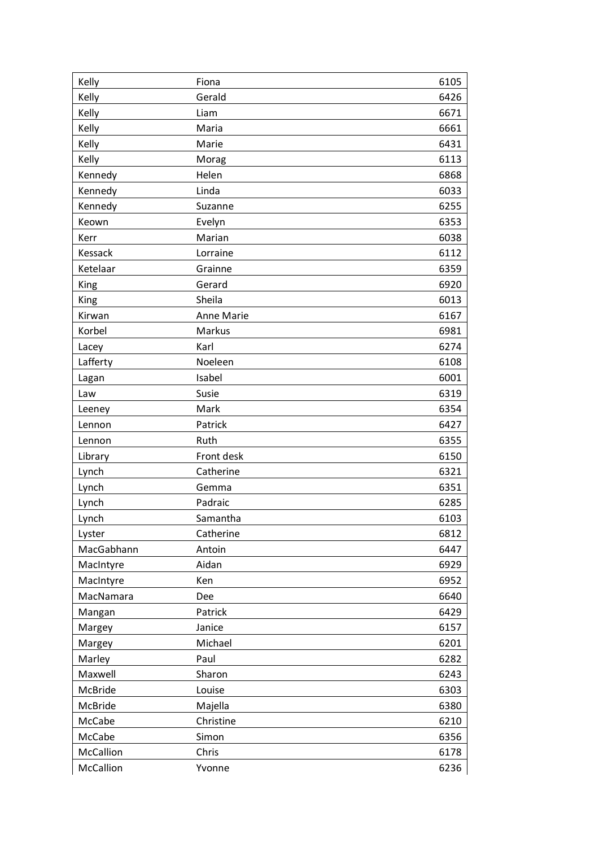| Kelly      | Fiona             | 6105 |
|------------|-------------------|------|
| Kelly      | Gerald            | 6426 |
| Kelly      | Liam              | 6671 |
| Kelly      | Maria             | 6661 |
| Kelly      | Marie             | 6431 |
| Kelly      | Morag             | 6113 |
| Kennedy    | Helen             | 6868 |
| Kennedy    | Linda             | 6033 |
| Kennedy    | Suzanne           | 6255 |
| Keown      | Evelyn            | 6353 |
| Kerr       | Marian            | 6038 |
| Kessack    | Lorraine          | 6112 |
| Ketelaar   | Grainne           | 6359 |
| King       | Gerard            | 6920 |
| King       | Sheila            | 6013 |
| Kirwan     | <b>Anne Marie</b> | 6167 |
| Korbel     | Markus            | 6981 |
| Lacey      | Karl              | 6274 |
| Lafferty   | Noeleen           | 6108 |
| Lagan      | Isabel            | 6001 |
| Law        | Susie             | 6319 |
| Leeney     | Mark              | 6354 |
| Lennon     | Patrick           | 6427 |
| Lennon     | Ruth              | 6355 |
| Library    | Front desk        | 6150 |
| Lynch      | Catherine         | 6321 |
| Lynch      | Gemma             | 6351 |
| Lynch      | Padraic           | 6285 |
| Lynch      | Samantha          | 6103 |
| Lyster     | Catherine         | 6812 |
| MacGabhann | Antoin            | 6447 |
| MacIntyre  | Aidan             | 6929 |
| MacIntyre  | Ken               | 6952 |
| MacNamara  | Dee               | 6640 |
| Mangan     | Patrick           | 6429 |
| Margey     | Janice            | 6157 |
| Margey     | Michael           | 6201 |
| Marley     | Paul              | 6282 |
| Maxwell    | Sharon            | 6243 |
| McBride    | Louise            | 6303 |
| McBride    | Majella           | 6380 |
| McCabe     | Christine         | 6210 |
| McCabe     | Simon             | 6356 |
| McCallion  | Chris             | 6178 |
| McCallion  | Yvonne            | 6236 |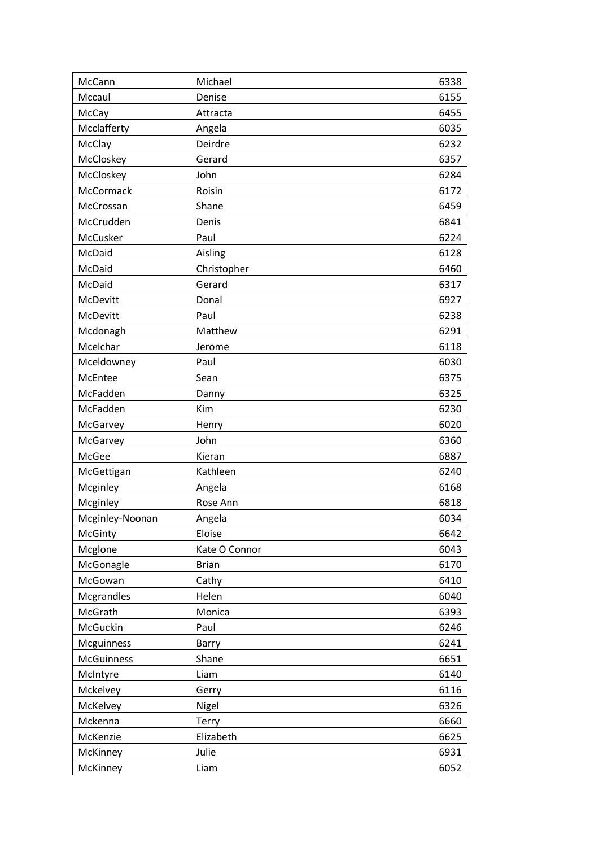| McCann            | Michael       | 6338 |
|-------------------|---------------|------|
| Mccaul            | Denise        | 6155 |
| McCay             | Attracta      | 6455 |
| Mcclafferty       | Angela        | 6035 |
| McClay            | Deirdre       | 6232 |
| McCloskey         | Gerard        | 6357 |
| McCloskey         | John          | 6284 |
| McCormack         | Roisin        | 6172 |
| McCrossan         | Shane         | 6459 |
| McCrudden         | Denis         | 6841 |
| McCusker          | Paul          | 6224 |
| McDaid            | Aisling       | 6128 |
| McDaid            | Christopher   | 6460 |
| McDaid            | Gerard        | 6317 |
| McDevitt          | Donal         | 6927 |
| McDevitt          | Paul          | 6238 |
| Mcdonagh          | Matthew       | 6291 |
| Mcelchar          | Jerome        | 6118 |
| Mceldowney        | Paul          | 6030 |
| McEntee           | Sean          | 6375 |
| McFadden          | Danny         | 6325 |
| McFadden          | Kim           | 6230 |
| McGarvey          | Henry         | 6020 |
| McGarvey          | John          | 6360 |
| McGee             | Kieran        | 6887 |
| McGettigan        | Kathleen      | 6240 |
| Mcginley          | Angela        | 6168 |
| Mcginley          | Rose Ann      | 6818 |
| Mcginley-Noonan   | Angela        | 6034 |
| McGinty           | Eloise        | 6642 |
| Mcglone           | Kate O Connor | 6043 |
| McGonagle         | <b>Brian</b>  | 6170 |
| McGowan           | Cathy         | 6410 |
| Mcgrandles        | Helen         | 6040 |
| McGrath           | Monica        | 6393 |
| McGuckin          | Paul          | 6246 |
| Mcguinness        | Barry         | 6241 |
| <b>McGuinness</b> | Shane         | 6651 |
| McIntyre          | Liam          | 6140 |
| Mckelvey          | Gerry         | 6116 |
| McKelvey          | Nigel         | 6326 |
| Mckenna           | Terry         | 6660 |
| McKenzie          | Elizabeth     | 6625 |
| McKinney          | Julie         | 6931 |
| McKinney          | Liam          | 6052 |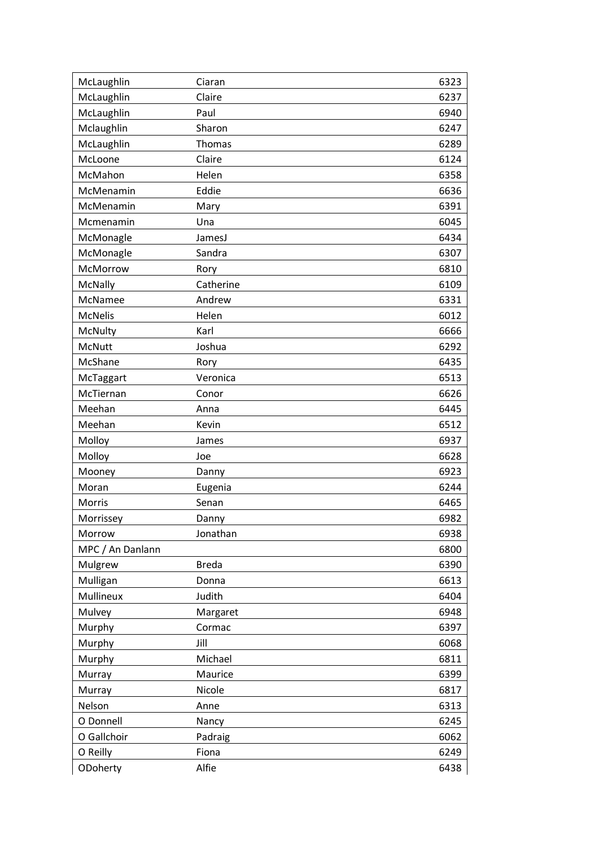| McLaughlin       | Ciaran       | 6323 |
|------------------|--------------|------|
| McLaughlin       | Claire       | 6237 |
| McLaughlin       | Paul         | 6940 |
| Mclaughlin       | Sharon       | 6247 |
| McLaughlin       | Thomas       | 6289 |
| McLoone          | Claire       | 6124 |
| McMahon          | Helen        | 6358 |
| McMenamin        | Eddie        | 6636 |
| McMenamin        | Mary         | 6391 |
| Mcmenamin        | Una          | 6045 |
| McMonagle        | JamesJ       | 6434 |
| McMonagle        | Sandra       | 6307 |
| McMorrow         | Rory         | 6810 |
| McNally          | Catherine    | 6109 |
| McNamee          | Andrew       | 6331 |
| <b>McNelis</b>   | Helen        | 6012 |
| McNulty          | Karl         | 6666 |
| McNutt           | Joshua       | 6292 |
| McShane          | Rory         | 6435 |
| McTaggart        | Veronica     | 6513 |
| McTiernan        | Conor        | 6626 |
| Meehan           | Anna         | 6445 |
| Meehan           | Kevin        | 6512 |
| Molloy           | James        | 6937 |
| Molloy           | Joe          | 6628 |
| Mooney           | Danny        | 6923 |
| Moran            | Eugenia      | 6244 |
| Morris           | Senan        | 6465 |
| Morrissey        | Danny        | 6982 |
| Morrow           | Jonathan     | 6938 |
| MPC / An Danlann |              | 6800 |
| Mulgrew          | <b>Breda</b> | 6390 |
| Mulligan         | Donna        | 6613 |
| Mullineux        | Judith       | 6404 |
| Mulvey           | Margaret     | 6948 |
| Murphy           | Cormac       | 6397 |
| Murphy           | Jill         | 6068 |
| Murphy           | Michael      | 6811 |
| Murray           | Maurice      | 6399 |
| Murray           | Nicole       | 6817 |
| Nelson           | Anne         | 6313 |
| O Donnell        | Nancy        | 6245 |
| O Gallchoir      | Padraig      | 6062 |
| O Reilly         | Fiona        | 6249 |
| ODoherty         | Alfie        | 6438 |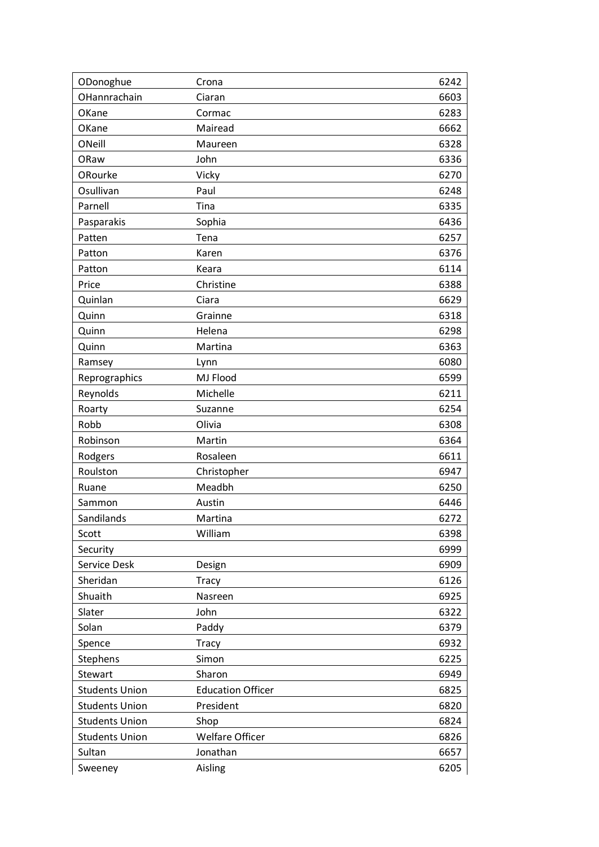| ODonoghue             | Crona                    | 6242 |
|-----------------------|--------------------------|------|
| OHannrachain          | Ciaran                   | 6603 |
| OKane                 | Cormac                   | 6283 |
| OKane                 | Mairead                  | 6662 |
| ONeill                | Maureen                  | 6328 |
| ORaw                  | John                     | 6336 |
| ORourke               | Vicky                    | 6270 |
| Osullivan             | Paul                     | 6248 |
| Parnell               | Tina                     | 6335 |
| Pasparakis            | Sophia                   | 6436 |
| Patten                | Tena                     | 6257 |
| Patton                | Karen                    | 6376 |
| Patton                | Keara                    | 6114 |
| Price                 | Christine                | 6388 |
| Quinlan               | Ciara                    | 6629 |
| Quinn                 | Grainne                  | 6318 |
| Quinn                 | Helena                   | 6298 |
| Quinn                 | Martina                  | 6363 |
| Ramsey                | Lynn                     | 6080 |
| Reprographics         | MJ Flood                 | 6599 |
| Reynolds              | Michelle                 | 6211 |
| Roarty                | Suzanne                  | 6254 |
| Robb                  | Olivia                   | 6308 |
| Robinson              | Martin                   | 6364 |
| Rodgers               | Rosaleen                 | 6611 |
| Roulston              | Christopher              | 6947 |
| Ruane                 | Meadbh                   | 6250 |
| Sammon                | Austin                   | 6446 |
| Sandilands            | Martina                  | 6272 |
| Scott                 | William                  | 6398 |
| Security              |                          | 6999 |
| Service Desk          | Design                   | 6909 |
| Sheridan              | <b>Tracy</b>             | 6126 |
| Shuaith               | Nasreen                  | 6925 |
| Slater                | John                     | 6322 |
| Solan                 | Paddy                    | 6379 |
| Spence                | <b>Tracy</b>             | 6932 |
| Stephens              | Simon                    | 6225 |
| Stewart               | Sharon                   | 6949 |
| <b>Students Union</b> | <b>Education Officer</b> | 6825 |
| <b>Students Union</b> | President                | 6820 |
| <b>Students Union</b> | Shop                     | 6824 |
| <b>Students Union</b> | <b>Welfare Officer</b>   | 6826 |
| Sultan                | Jonathan                 | 6657 |
| Sweeney               | Aisling                  | 6205 |